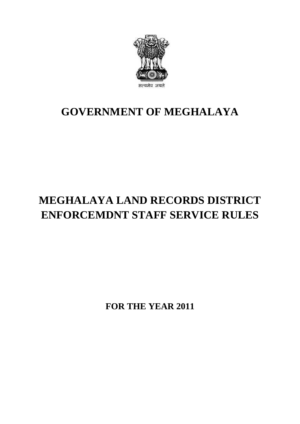

## **GOVERNMENT OF MEGHALAYA**

# **MEGHALAYA LAND RECORDS DISTRICT ENFORCEMDNT STAFF SERVICE RULES**

**FOR THE YEAR 2011**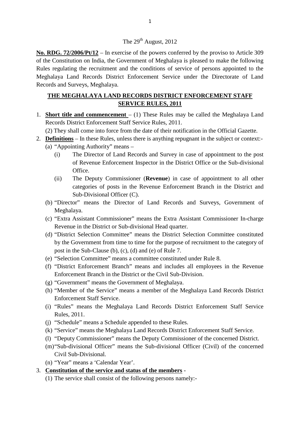**No. RDG. 72/2006/Pt/12** – In exercise of the powers conferred by the proviso to Article 309 The 29<sup>th</sup> August, 2012<br>No. RDG. 72/2006/Pt/12 – In exercise of the powers conferred by the proviso to Article 309<br>of the Constitution on India, the Government of Meghalaya is pleased to make the following<br>Rules regulating The 29<sup>th</sup> August, 2012<br>No. RDG. 72/2006/Pt/12 – In exercise of the powers conferred by the proviso to Article 309<br>of the Constitution on India, the Government of Meghalaya is pleased to make the following<br>Rules regulating Meghalaya Land Records District Enforcement Service under the Directorate of Land Records and Surveys, Meghalaya.

## **THE MEGHALAYA LAND RECORDS DISTRICT ENFORCEMENT STAFF SERVICE RULES, 2011**

1. **Short title and commencement** – (1) These Rules may be called the Meghalaya Land Records District Enforcement Staff Service Rules, 2011. **Short title and commencement** – (1) These<br>
Records District Enforcement Staff Service R<br>
(2) They shall come into force from the date of<br> **Definitions** – In these Rules, unless there is a<br>
(a) "Appointing Authority" means

(2) They shall come into force from the date of their notification in the Official Gazette.

- 2. **Definitions** In these Rules, unless there is anything repugnant in the subject or context:-
- The District Enforcement Staff Service Rules, 2011.<br>
They shall come into force from the date of their notification in the Official Gazette.<br> **initions** In these Rules, unless there is anything repugnant in the subject of Revenue Enforcement Inspector in the District Office or the Sub-divisional Office. (i) The Director of Land Records and Survey in case of appointment to the post<br>of Revenue Enforcement Inspector in the District Office or the Sub-divisional<br>Office.<br>(ii) The Deputy Commissioner (Revenue) in case of appoint
	- categories of posts in the Revenue Enforcement Branch in the District and Sub-Divisional Officer (C). categories of posts in the Revenue Enforcement Branch in the District and<br>Sub-Divisional Officer (C).<br>(b) "Director" means the Director of Land Records and Surveys, Government of<br>Meghalaya.<br>(c) "Extra Assistant Commissione
	- (b) "Director" means the Director of Land Records and Surveys, Government of Meghalaya.
	- Revenue in the District or Sub-divisional Head quarter.
	- (d) "District Selection Committee" means the District Selection Committee constituted by the Government from time to time for the purpose of recruitment to the category of "Extra Assistant Commissioner" means the Extra Assis<br>Revenue in the District or Sub-divisional Head quarter.<br>"District Selection Committee" means the District Sele<br>by the Government from time to time for the purpose of pos
	- (e) "Selection Committee" means a committee constituted under Rule 8.
	- (f) "District Enforcement Branch" means and includes all employees in the Revenue Enforcement Branch in the District or the Civil Sub-Division.
	- (g) "Government" means the Government of Meghalaya.
	- (h) "Member of the Service" means a member of the Meghalaya Land Records District Enforcement Staff Service.
	- (i) "Rules" means the Meghalaya Land Records District Enforcement Staff Service Rules, 2011.
	- (j) "Schedule" means a Schedule appended to these Rules.
	- (k) "Service" means the Meghalaya Land Records District Enforcement Staff Service.
	- (l) "Deputy Commissioner" means the Deputy Commissioner of the concerned District.
	- Rules, 2011.<br>
	(j) "Schedule" means a Schedule appended to these Rules.<br>
	(k) "Service" means the Meghalaya Land Records District Enforcement Staff Service.<br>
	(l) "Deputy Commissioner" means the Deputy Commissioner of the con Civil Sub-Divisional. (m) "Sub-divisional Officer" means the Sub-divisional Officer (Civil) of the concerned<br>Civil Sub-Divisional.<br>(n) "Year" means a 'Calendar Year'.<br>**Constitution of the service and status of the members** -<br>(1) The service sh
	- (n) "Year" means a 'Calendar Year'.

### 3. **Constitution of the service and status of the members** -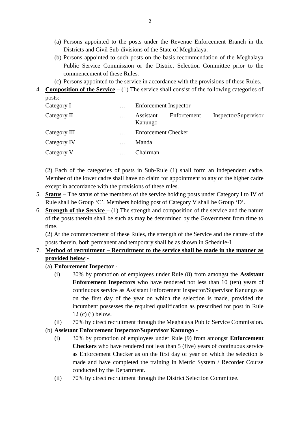- (a) Persons appointed to the posts under the Revenue Enforcement Branch in the Districts and Civil Sub-divisions of the State of Meghalaya. (a) Persons appointed to the posts under the Revenue Enforcement Branch in the Districts and Civil Sub-divisions of the State of Meghalaya.<br>(b) Persons appointed to such posts on the basis recommendation of the Meghalaya
- Public Service Commission or the District Selection Committee prior to the commencement of these Rules. Districts and Civil Sub-divisions of the State of Meghalaya.<br>
(b) Persons appointed to such posts on the basis recommendation of the Meghalaya<br>
Public Service Commission or the District Selection Committee prior to the<br>
c 4. Composition of the Service Commission or the District Selection Committee prior to the<br>commencement of these Rules.<br>(c) Persons appointed to the service in accordance with the provisions of these Rules.<br>4. Composition
	-
- posts:-

| Category I   | $\cdots$ | Enforcement Inspector               |                      |
|--------------|----------|-------------------------------------|----------------------|
| Category II  | $\cdots$ | Assistant<br>Enforcement<br>Kanungo | Inspector/Supervisor |
| Category III | $\cdots$ | <b>Enforcement Checker</b>          |                      |
| Category IV  |          | Mandal                              |                      |
| Category V   | $\cdots$ | Chairman                            |                      |

(2) Each of the categories of posts in Sub-Rule (1) shall form an independent cadre. Member of the lower cadre shall have no claim for appointment to any of the higher cadre except in accordance with the provisions of these rules.

- 5. **Status** The status of the members of the service holding posts under Category I to IV of Rule shall be Group 'C'. Members holding post of Category V shall be Group 'D'.
- 6. **Strength of the Service** (1) The strength and composition of the service and the nature except in accordance with the provisions of these rules.<br> **Status** – The status of the members of the service holding posts under Category I to IV of<br>
Rule shall be Group 'C'. Members holding post of Category V shall be G time.

(2) At the commencement of these Rules, the strength of the Service and the nature of the posts therein, both permanent and temporary shall be as shown in Schedule-I.

## 7. **Method of recruitment – Recruitment to the service shall be made in the manner as provided below**:-

- (a) **Enforcement Inspector** -
- to the permanent and temporary shall be as shown in Schedule-I.<br> **(i)** 30% by promotion of employees under Rule (8) from amongst the **Assistant**<br> **Enforcement Inspector** -<br>
(i) 30% by promotion of employees under Rule (8) **Enforcement Inspectors** who have rendered not less than 10 (ten) years of continuous service as Assistant Enforcement Inspector/Supervisor Kanungo as on the first day of the year on which the selection is made, provided the 30% by promotion of employees under Rule (8) from amongst the **Assistant Enforcement Inspectors** who have rendered not less than 10 (ten) years of continuous service as Assistant Enforcement Inspector/Supervisor Kanungo **Enforcement Inspe**<br>continuous service as<br>on the first day of<br>incumbent possesses<br>12 (c) (i) below.<br>70% by direct recruit continuous service as Assistant Enforcement Inspector/Supervisor Kanungo as<br>on the first day of the year on which the selection is made, provided the<br>incumbent possesses the required qualification as prescribed for post in incumbent possesses the required qualification as prescribed for post in Rule<br>
12 (c) (i) below.<br>
(ii) 70% by direct recruitment through the Meghalaya Public Service Commission.<br> **Assistant Enforcement Inspector/Supervisor** 
	-
- (b) **Assistant Enforcement Inspector/Supervisor Kanungo** -
- The Service Commission.<br> **Checkers** who have rendered not less than 5 (five) years of continuous service<br> **Checkers** who have rendered not less than 5 (five) years of continuous service as Enforcement Checker as on the first day of year on which the selection is made and have completed the training in Metric System / Recorder Course conducted by the Department. Checkers who have rendered not less than 5 (five) years of continuous as Enforcement Checker as on the first day of year on which the s made and have completed the training in Metric System / Record conducted by the Depart
	-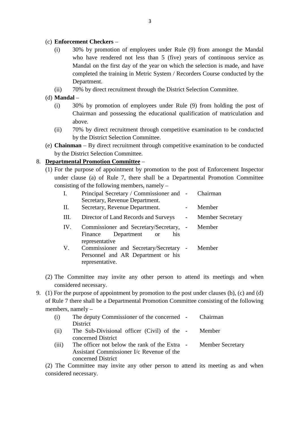#### (c) **Enforcement Checkers** –

- (i) 30% by promotion of employees under Rule (9) from amongst the Mandal who have rendered not less than 5 (five) years of continuous service as ement Checkers –<br>30% by promotion of employees under Rule (9) from amongst the Mandal<br>who have rendered not less than 5 (five) years of continuous service as<br>Mandal on the first day of the year on which the selection is ma completed the training in Metric System / Recorders Course conducted by the Department. who have rendered not less than 5 (five) years of continuous services.<br>
Mandal on the first day of the year on which the selection is made, and<br>
completed the training in Metric System / Recorders Course conducted l<br>
Depar
- 
- (d) **Mandal** –
- completed the training in Metric System / Recorders Course conducted by the<br>
Department.<br>
(ii) 70% by direct recruitment through the District Selection Committee.<br> **Mandal** –<br>
(i) 30% by promotion of employees under Rule ( Chairman and possessing the educational qualification of matriculation and above. **Mandal** –  $30\%$  by promotion of employees under Rule (9) from holding the post of Chairman and possessing the educational qualification of matriculation and above.<br>
(ii) 70% by direct recruitment through competitive exa
	- by the District Selection Committee.
- (e) **Chainman** By direct recruitment through competitive examination to be conducted by the District Selection Committee.

## 8. **Departmental Promotion Committee** –

by the District Selection Committee.<br>
(e) **Chainman** – By direct recruitment through competitive examination to be conducted<br>
by the District Selection Committee.<br> **Departmental Promotion Committee** –<br>
(1) For the purpose under clause (a) of Rule 7, there shall be a Departmental Promotion Committee consisting of the following members, namely –  $(1)$  For the purpose of appointment by promotion to the post of Enforcement Inspector

|     | (1) For the purpose of appointment by promotion to the post of Emorechient mspector |                          |                         |
|-----|-------------------------------------------------------------------------------------|--------------------------|-------------------------|
|     | under clause (a) of Rule 7, there shall be a Departmental Promotion Committee       |                          |                         |
|     | consisting of the following members, namely –                                       |                          |                         |
| I.  | Principal Secretary / Commissioner and -                                            |                          | Chairman                |
|     | Secretary, Revenue Department.                                                      |                          |                         |
| П.  | Secretary, Revenue Department.                                                      | $\overline{\phantom{0}}$ | Member                  |
| Ш.  | Director of Land Records and Surveys                                                | $-$                      | <b>Member Secretary</b> |
| IV. | Commissioner and Secretary/Secretary, -                                             |                          | Member                  |
|     | Department<br>Finance<br>his<br><sub>or</sub><br>representative                     |                          |                         |
| V.  | Commissioner and Secretary/Secretary -                                              |                          | Member                  |
|     | Personnel and AR Department or his<br>representative.                               |                          |                         |
|     |                                                                                     |                          |                         |
|     | (2) The Committee may invite any other person to attend its meetings and when       |                          |                         |
|     | considered necessary.                                                               |                          |                         |
|     |                                                                                     |                          |                         |

- considered necessary.
- 9. (2) The Committee may invite any other person to attend its meetings and when<br>considered necessary.<br>9. (1) For the purpose of appointment by promotion to the post under clauses (b), (c) and (d)<br>of Rule 7 there shall be of Rule 7 there shall be a Departmental Promotion Committee consisting of the following members, namely – 9. (1) For the purpose of appointment by promotion to the post under clauses (b), (c) and (d)

|       | $(1)$ for the purpose of appointment by promotion to the post under clauses $(0)$ , $(0)$ and $(0)$ |                         |
|-------|-----------------------------------------------------------------------------------------------------|-------------------------|
|       | of Rule 7 there shall be a Departmental Promotion Committee consisting of the following             |                         |
|       | members, namely $-$                                                                                 |                         |
| (i)   | The deputy Commissioner of the concerned -                                                          | Chairman                |
|       | District                                                                                            |                         |
| (ii)  | The Sub-Divisional officer (Civil) of the -                                                         | Member                  |
|       | concerned District                                                                                  |                         |
| (iii) | The officer not below the rank of the Extra -                                                       | <b>Member Secretary</b> |
|       | Assistant Commissioner I/c Revenue of the                                                           |                         |
|       | concerned District                                                                                  |                         |
|       | (2) The Committee may invite any other person to attend its meeting as and when                     |                         |

considered necessary.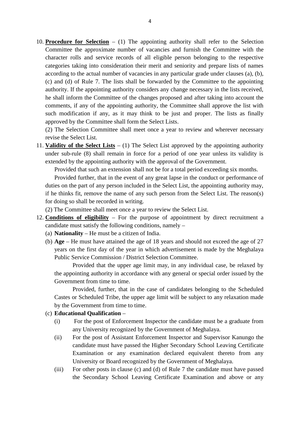10. **Procedure for Selection** – (1) The appointing authority shall refer to the Selection Committee the approximate number of vacancies and furnish the Committee with the **Procedure for Selection** – (1) The appointing authority shall refer to the Selection<br>Committee the approximate number of vacancies and furnish the Committee with the<br>character rolls and service records of all eligible per categories taking into consideration their merit and seniority and prepare lists of names according to the actual number of vacancies in any particular grade under clauses (a), (b), (c) and (d) of Rule 7. The lists shall be forwarded by the Committee to the appointing authority. If the appointing authority considers any change necessary in the lists received, he shall inform the Committee of the changes proposed and after taking into account the comments, if any of the appointing authority, the Committee shall approve the list with such modification if any, as it may think to be just and proper. The lists as finally approved by the Committee shall form the Select Lists.

(2) The Selection Committee shall meet once a year to review and wherever necessary revise the Select List.

11. **Validity of the Select Lists** – (1) The Select List approved by the appointing authority under sub-rule (8) shall remain in force for a period of one year unless its validity is extended by the appointing authority with the approval of the Government.

Provided that such an extension shall not be for a total period exceeding six months.

Provided further, that in the event of any great lapse in the conduct or performance of duties on the part of any person included in the Select List, the appointing authority may, if he thinks fit, remove the name of any such person from the Select List. The reason(s) for doing so shall be recorded in writing.

- (2) The Committee shall meet once a year to review the Select List.
- 12. **Conditions of eligibility** For the purpose of appointment by direct recruitment a candidate must satisfy the following conditions, namely –
	- (a) **Nationality** He must be a citizen of India.
- (b) **Age** He must have attained the age of 18 years and should not exceed the age of 27 **nditions of eligibility** – For the purpose of appointment by direct recruitment a didate must satisfy the following conditions, namely –<br>**Nationality** – He must be a citizen of India.<br>**Age** – He must have attained the age Public Service Commission / District Selection Committee.

Provided that the upper age limit may, in any individual case, be relaxed by the appointing authority in accordance with any general or special order issued by the years on the first day of the year in<br>Public Service Commission / Districe<br>Provided that the upper age<br>the appointing authority in accordar<br>Government from time to time.<br>Provided, further, that in th

Provided, further, that in the case of candidates belonging to the Scheduled<br>
Castes or Scheduled Tribe, the upper age limit will be subject to any relaxation made<br>
by the Government from time to time.<br> **Educational Qualif** Castes or Scheduled Tribe, the upper age limit will be subject to any relaxation made by the Government from time to time.

#### (c) **Educational Qualification** –

- any University recognized by the Government of Meghalaya.
- (i) For the post of Assistant Enforcement Inspector the candidate must be a graduate from<br>
any University recognized by the Government of Meghalaya.<br>
(ii) For the post of Assistant Enforcement Inspector and Supervisor Kanu Examination or any examination declared equivalent thereto from any University or Board recognized by the Government of Meghalaya. (ii) For the post of Assistant Enforcement Inspector and Supervisor Kanungo the candidate must have passed the Higher Secondary School Leaving Certificate Examination or any examination declared equivalent thereto from any
- the Secondary School Leaving Certificate Examination and above or any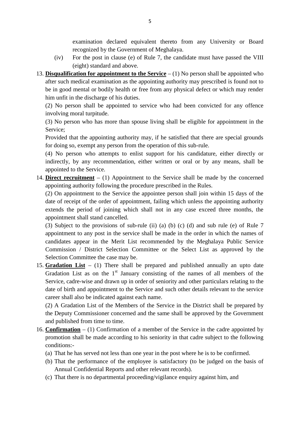examination declared equivalent thereto from any University or Board recognized by the Government of Meghalaya.

- (iv) For the post in clause (e) of Rule 7, the candidate must have passed the VIII (eight) standard and above.
- 13. **Disqualification for appointment to the Service** (1) No person shall be appointed who after such medical examination as the appointing authority may prescribed is found not to be in good mental or bodily health or free from any physical defect or which may render him unfit in the discharge of his duties. be in good mental or bodily health or free from any physical defect or which may render<br>him unfit in the discharge of his duties.<br>(2) No person shall be appointed to service who had been convicted for any offence<br>involving

(2) No person shall be appointed to service who had been convicted for any offence involving moral turpitude.

Service;

Provided that the appointing authority may, if he satisfied that there are special grounds for doing so, exempt any person from the operation of this sub-rule. (3) No person who has more than spouse living shall be eligible for appointment in the Service;<br>Provided that the appointing authority may, if he satisfied that there are special grounds<br>for doing so, exempt any person fro

indirectly, by any recommendation, either written or oral or by any means, shall be appointed to the Service.

14. **Direct recruitment** – (1) Appointment to the Service shall be made by the concerned appointing authority following the procedure prescribed in the Rules.

(2) On appointment to the Service the appointee person shall join within 15 days of the date of receipt of the order of appointment, failing which unless the appointing authority extends the period of joining which shall not in any case exceed three months, the appointment shall stand cancelled. (2) On appointment to the Service the appointee person shall join within 15 days of the date of receipt of the order of appointment, failing which unless the appointing authority extends the period of joining which shall

appointment to any post in the service shall be made in the order in which the names of candidates appear in the Merit List recommended by the Meghalaya Public Service (3) Subject to the provisions of sub-rule (ii) (a) (b) (c) (d) and sub rule (e) of Rule 7 appointment to any post in the service shall be made in the order in which the names of candidates appear in the Merit List recomme Selection Committee the case may be.

15. **Gradation List** – (1) There shall be prepared and published annually an upto date Gradation List as on the  $1<sup>st</sup>$  January consisting of the names of all members of the Service, cadre-wise and drawn up in order of seniority and other particulars relating to the date of birth and appointment to the S Service, cadre-wise and drawn up in order of seniority and other particulars relating to the date of birth and appointment to the Service and such other details relevant to the service career shall also be indicated against each name.

the Deputy Commissioner concerned and the same shall be approved by the Government and published from time to time. (2) A Gradation List of the Members of the Service in the District shall be prepared by the Deputy Commissioner concerned and the same shall be approved by the Government and published from time to time.<br>**Confirmation** –

- 16. **Confirmation** (1) Confirmation of a member of the Service in the cadre appointed by conditions:- (a) That he has served not less than one year in the post where he is to be confirmed.<br>
(a) That he has served not less than one year in the post where he is to be confirmed.<br>
(b) That the performance of the employee is s **Confirmation**  $- (1)$  Confirmation of a member of the Service in the cadre appointed by promotion shall be made according to his seniority in that cadre subject to the following conditions:-<br>(a) That he has served not les motion shall be made according to his seniority in that cadre<br>ditions:-<br>That he has served not less than one year in the post where he<br>That the performance of the employee is satisfactory (to be<br>Annual Confidential Reports
	-
	- (a) That the has served not less than one year in the post where he is to be confirmed.<br>
	(b) That the performance of the employee is satisfactory (to be judged on the basis of Annual Confidential Reports and other relevant
	-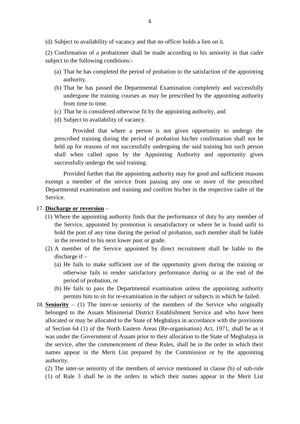<sup>6</sup><br>(d) Subject to availability of vacancy and that no officer holds a lien on it.<br>(2) Confirmation of a probationer shall be made according to his seniority in

(d) Subject to availability of vacancy and that no officer holds a lien on it.<br>(2) Confirmation of a probationer shall be made according to his seniority in that cadre<br>subject to the following conditions:-(d) Subject to availability of vacancy and (2) Confirmation of a probationer shall b subject to the following conditions:-<br>(a) That he has completed the period of

- Subject to availability of vacancy and that no officer holds a lien on it.<br>Confirmation of a probationer shall be made according to his seniority in that cadre<br>ject to the following conditions:-<br>(a) That he has completed t authority.
- Confirmation of a probationer shall be made according to his seniority in that cadre<br>ject to the following conditions:-<br>(a) That he has completed the period of probation to the satisfaction of the appointing<br>authority.<br>(b) to the following conditions:-<br>That he has completed the period of probation to the satisfaction of the appointing<br>authority.<br>That he has passed the Departmental Examination completely and successfully<br>undergone the trainin from time to time. (b) That he has passed the Departmental Examination completely and succe undergone the training courses as may be prescribed by the appointing au from time to time.<br>(c) That he is considered otherwise fit by the appointing (b) That he has passed the Departmental<br>undergone the training courses as may<br>from time to time.<br>(c) That he is considered otherwise fit by t<br>(d) Subject to availability of vacancy.<br>Provided that where a person is
- 
- 

Provided that where a person is not given opportunity to undergo the prescribed training during the period of probation his/her confirmation shall not be held up for reasons of not successfully undergoing the said training but such person shall when called upon by the Appointing Authority and opportunity given successfully undergo the said training. prescribed training during the period of probation his/her confirmation shall not be<br>held up for reasons of not successfully undergoing the said training but such person<br>shall when called upon by the Appointing Authority a

Departmental examination and training and confirm his/her in the respective cadre of the Service. exempt a member of the service from passing any one or more of the prescribed<br>Departmental examination and training and confirm his/her in the respective cadre of the<br>Service.<br>**Discharge or reversion** –<br>(1) Where the appoi

#### 17. **Discharge or reversion** –

- the Service, appointed by promotion is unsatisfactory or where he is found unfit to hold the post of any time during the period of probation, such member shall be liable charge or reversion –<br>Where the appointing authority finds that the perf<br>the Service, appointed by promotion is unsatisface<br>hold the post of any time during the period of pro<br>in the reverted to his next lower post or grade (1) Where the appointing authority finds that the performance of duty by any member of the Service, appointed by promotion is unsatisfactory or where he is found unfit to hold the post of any time during the period of pro hold the post of any time during the period of probation, such member shall be liable<br>in the reverted to his next lower post or grade.<br>A member of the Service appointed by direct recruitment shall be liable to the<br>discharg
- discharge if –
- ne reverted to his next lower post or grade.<br>
member of the Service appointed by direct recruitment shall be liable to the<br>
charge if –<br>
He fails to make sufficient use of the opportunity given during the training or<br>
othe period of probation, or (a) He fails to make sufficient use of the opportunity given during the training or otherwise fails to render satisfactory performance during or at the end of the period of probation, or (b) He fails to pass the Departmen otherwise fails to render satisfactory performance during or at the end of the<br>period of probation, or<br>(b) He fails to pass the Departmental examination unless the appointing authority<br>permits him to sit for re-examination
	- permits him to sit for re-examination in the subject or subjects in which he failed.
- belonged to the Assam Ministerial District Establishment Service and who have been (b) He fails to pass the Departmental examination unless the appointing authority permits him to sit for re-examination in the subject or subjects in which he failed.<br>**Seniority** – (1) The inter-se seniority of the member of Section 64 (1) of the North Eastern Areas (Re-organisation) Act, 1971, shall be as it was under the Government of Assam prior to their allocation to the State of Meghalaya in the service, after the commencement of these Rules, shall be in the order in which their names appear in the Merit List prepared by the Commission or by the appointing authority.<br>(2) The inter-se seniority of the members o names appear in the Merit List prepared by the Commission or by the appointing authority.
	- (2) The inter-se seniority of the members of service mentioned in clause (b) of sub-rule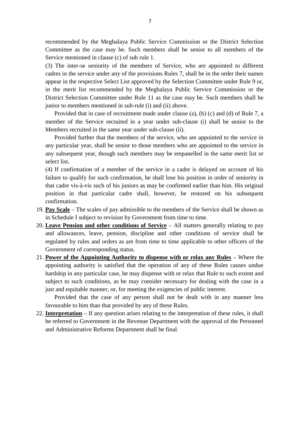recommended by the Meghalaya Public Service Commission or the District Selection 7<br>
The commended by the Meghalaya Public Service Commission or the District Selection<br>
Committee as the case may be. Such members shall be senior to all members of the<br>
Service mentioned in clause (c) of sub rule 1. Service mentioned in clause (c) of sub rule 1. (3) The inter-se seniority of the provisions Rules 7, shall be senior to all members of the Service mentioned in clause (c) of sub rule 1.<br>(3) The inter-se seniority of the members of Service, who are appointed to differen

cadres in the service under any of the provisions Rules 7, shall be in the order their names appear in the respective Select List approved by the Selection Committee under Rule 9 or, Service mentioned in clause (c) of sub rule 1.<br>
(3) The inter-se seniority of the members of Service, who are appointed to different<br>
cadres in the service under any of the provisions Rules 7, shall be in the order their n District Selection Committee under Rule 11 as the case may be. Such members shall be junior to members mentioned in sub-rule (i) and (ii) above.

Provided that in case of recruitment made under clause (a), (b) (c) and (d) of Rule 7, a member of the Service recruited in a year under sub-clause (i) shall be senior to the Members recruited in the same year under sub-clause (ii).

Provided further that the members of the service, who are appointed to the service in Provided that in case of recruitment made under clause (a), (b) (c) and (d) of Rule 7, a<br>member of the Service recruited in a year under sub-clause (i) shall be senior to the<br>Members recruited in the same year under sub-cl any subsequent year, though such members may be empanelled in the same merit list or select list. any particular year, shall be senior to those members who are appointed to the service in<br>any subsequent year, though such members may be empanelled in the same merit list or<br>select list.<br>(4) If confirmation of a member of

(4) If confirmation of a member of the service in a cadre is delayed on account of his failure to qualify for such confirmation, he shall lose his position in order of seniority in position in that particular cadre shall, however, be restored on his subsequent confirmation.

- 19. **Pay Scale** The scales of pay admissible to the members of the Service shall be shown as in Schedule I subject to revision by Government from time to time.
- 20. **Leave Pension and other conditions of Service** All matters generally relating to pay and allowances, leave, pension, discipline and other conditions of service shall be regulated by rules and orders as are from time to time applicable to other officers of the Government of corresponding status.
- 21. **Power of the Appointing Authority to dispense with or relax any Rules** Where the appointing authority is satisfied that the operation of any of these Rules causes undue hardship in any particular case, he may dispense with or relax that Rule to such extent and subject to such conditions, as he may consider necessary for dealing with the case in a just and equitable manner, or, for meeting the exigencies of public interest.

Provided that the case of any person shall not be dealt with in any manner less favourable to him than that provided by any of these Rules.

22. **Interpretation** – If any question arises relating to the interpretation of these rules, it shall be referred to Government in the Revenue Department with the approval of the Personnel Provided that the case of any person shall not favourable to him than that provided by any of these R<br> **Interpretation** – If any question arises relating to the i<br>
be referred to Government in the Revenue Department<br>
and A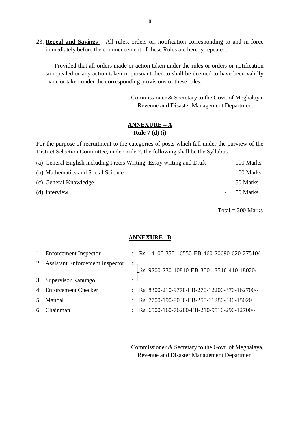23. **Repeal and Savings** – All rules, orders or, notification corresponding to and in force immediately before the commencement of these Rules are hereby repealed:

Provided that all orders made or action taken under the rules or orders or notification<br>Provided that all orders made or action taken under the rules or orders or notification<br>epealed or any action taken in pursuant theret so repealed or any action taken in pursuant thereto shall be deemed to have been validly made or taken under the corresponding provisions of these rules. The ration taken under the rules or orders or notification<br>pursuant thereto shall be deemed to have been validly<br>ling provisions of these rules.<br>Commissioner & Secretary to the Govt. of Meghalaya,<br>Revenue and Disaster Mana

Revenue and Disaster Management Department.

## **ANNEXURE – A Rule 7 (d) (i)**

For the purpose of recruitment to the categories of posts which fall under the purview of the<br>District Selection Committee, under Rule 7, the following shall be the Syllabus :-District Selection Committee, under Rule 7, the following shall be the Syllabus :-

| ARRIVAVIVI – A<br>Rule $7$ (d) (i)                                                                                                                                                  |   |           |
|-------------------------------------------------------------------------------------------------------------------------------------------------------------------------------------|---|-----------|
| For the purpose of recruitment to the categories of posts which fall under the purview of the<br>District Selection Committee, under Rule 7, the following shall be the Syllabus :- |   |           |
| (a) General English including Precis Writing, Essay writing and Draft                                                                                                               |   | 100 Marks |
| (b) Mathematics and Social Science                                                                                                                                                  |   | 100 Marks |
| (c) General Knowledge                                                                                                                                                               | - | 50 Marks  |
| (d) Interview                                                                                                                                                                       |   | 50 Marks  |
|                                                                                                                                                                                     |   |           |

 $Total = 300$  Marks

#### **ANNEXURE –B**

|    |                                    | <b>ANNEXURE-B</b>                                          |
|----|------------------------------------|------------------------------------------------------------|
| 1. | Enforcement Inspector              | : Rs. $14100-350-16550-EB-460-20690-620-27510/-$           |
|    | 2. Assistant Enforcement Inspector | S. 9200-230-10810-EB-300-13510-410-18020/-                 |
|    | 3. Supervisor Kanungo              | ٠                                                          |
|    | 4. Enforcement Checker             | Rs. 8300-210-9770-EB-270-12200-370-162700/-                |
| 5. | Mandal                             | Rs. 7700-190-9030-EB-250-11280-340-15020                   |
| 6. | Chainman                           | : Rs. $6500 - 160 - 76200 - EB - 210 - 9510 - 290 - 12700$ |

Commissioner & Secretary to the Govt. of Meghalaya, Revenue and Disaster Management Department.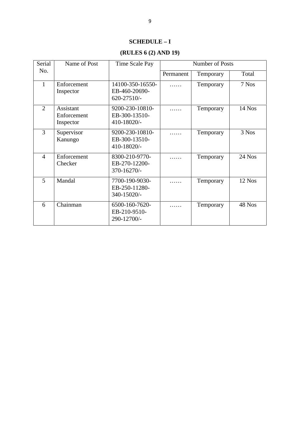## **SCHEDULE – I**

## **(RULES 6 (2) AND 19)**

|                |                                       | <b>SCHEDULE - I</b>                                 |           |                 |          |
|----------------|---------------------------------------|-----------------------------------------------------|-----------|-----------------|----------|
|                |                                       | (RULES 6 (2) AND 19)                                |           |                 |          |
| Serial         | Name of Post                          | Time Scale Pay                                      |           | Number of Posts |          |
| No.            |                                       |                                                     | Permanent | Temporary       | Total    |
| $\mathbf{1}$   | Enforcement<br>Inspector              | 14100-350-16550-<br>EB-460-20690-<br>$620 - 27510/$ | .         | Temporary       | 7 Nos    |
| $\overline{2}$ | Assistant<br>Enforcement<br>Inspector | 9200-230-10810-<br>EB-300-13510-<br>410-18020/-     | .         | Temporary       | $14$ Nos |
| $\overline{3}$ | Supervisor<br>Kanungo                 | 9200-230-10810-<br>EB-300-13510-<br>410-18020/-     | .         | Temporary       | 3 Nos    |
| $\overline{4}$ | Enforcement<br>Checker                | 8300-210-9770-<br>EB-270-12200-<br>370-16270/-      | .         | Temporary       | 24 Nos   |
| 5              | Mandal                                | 7700-190-9030-<br>EB-250-11280-<br>340-15020/-      | .         | Temporary       | 12 Nos   |
| 6              | Chainman                              | 6500-160-7620-<br>EB-210-9510-<br>290-12700/-       | .         | Temporary       | 48 Nos   |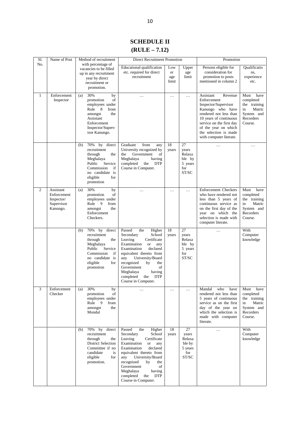## **SCHEDULE II (RULE – 7.12)**

|                |                                                                  |                                                                                                                                                                      | <b>SCHEDULE II</b>                                                                                                                                                                                                                                                                                                          |                           |                                                            |                                                                                                                                                                                                                                             |                                                                                                 |
|----------------|------------------------------------------------------------------|----------------------------------------------------------------------------------------------------------------------------------------------------------------------|-----------------------------------------------------------------------------------------------------------------------------------------------------------------------------------------------------------------------------------------------------------------------------------------------------------------------------|---------------------------|------------------------------------------------------------|---------------------------------------------------------------------------------------------------------------------------------------------------------------------------------------------------------------------------------------------|-------------------------------------------------------------------------------------------------|
| S1.            | Name of Post                                                     | Method of recruitment                                                                                                                                                | $(RULE - 7.12)$<br><b>Direct Recruitment Promotion</b>                                                                                                                                                                                                                                                                      |                           |                                                            | Promotion                                                                                                                                                                                                                                   |                                                                                                 |
| No.            |                                                                  | with percentage of<br>vacancies to be filled<br>up in any recruitment<br>year by direct<br>recruitment or<br>promotion.                                              | Educational qualification<br>etc. required for direct<br>recruitment                                                                                                                                                                                                                                                        | Low<br>er<br>age<br>limit | Upper<br>age<br>limit                                      | Persons eligible for<br>consideration for<br>promotion to posts<br>mentioned in column 2                                                                                                                                                    | Oualificatio<br>ns,<br>experience<br>etc.                                                       |
| $\mathbf{1}$   | Enforcement<br>Inspector                                         | 30%<br>by<br>(a)<br>of<br>promotion<br>employees under<br>Rule 8<br>from<br>amongst<br>the<br>Assistant<br>Enforcement<br>Inspector/Superv<br>isor Kanungo.          | $\cdots$                                                                                                                                                                                                                                                                                                                    | .                         | $\cdots$                                                   | Assistant<br>Revenue<br>Enforcement<br>Inspector/Supervisor<br>Kanungo who have<br>rendered not less than<br>10 years of continuous<br>service on the first day<br>of the year on which<br>the selection is made<br>with computer literate. | Must<br>have<br>completed<br>the training<br>Matric<br>in<br>System and<br>Recorders<br>Course. |
|                |                                                                  | 70%<br>by<br>direct<br>(b)<br>recruitment<br>through<br>the<br>Meghalaya<br>Public<br>Service<br>Commission<br>if<br>no candidate is<br>eligible<br>for<br>promotion | Graduate<br>from<br>any<br>University recognized by<br>Government<br>the<br>of<br>Meghalaya<br>having<br>completed<br><b>DTP</b><br>the<br>Course in Computer.                                                                                                                                                              | 18<br>years               | 27<br>years<br>Relaxa<br>ble by<br>5 years<br>for<br>ST/SC | .                                                                                                                                                                                                                                           | $\cdots$                                                                                        |
| $\overline{c}$ | Assistant<br>Enforcement<br>Inspector/<br>Supervisor<br>Kanungo. | 30%<br>by<br>(a)<br>promotion<br>οf<br>employees under<br>Rule 9<br>from<br>the<br>amongst<br>Enforcement<br>Checkers.                                               | $\cdots$                                                                                                                                                                                                                                                                                                                    | $\cdots$                  | $\cdots$                                                   | <b>Enforcement Checkers</b><br>who have rendered not<br>less than 5 years of<br>continuous service as<br>on the first day of the<br>year on which the<br>selection is made with<br>computer literate.                                       | Must<br>have<br>completed<br>the training<br>Matric<br>in<br>System and<br>Recorders<br>Course. |
|                |                                                                  | 70%<br>by<br>direct<br>(b)<br>recruitment<br>through<br>the<br>Meghalaya<br>Public<br>Service<br>Commission<br>if<br>no candidate is<br>eligible<br>for<br>promotion | Passed<br>the<br>Higher<br>Secondary<br>School<br>Leaving<br>Certificate<br>Examination<br><b>or</b><br>any<br>Examination<br>declared<br>equivalent thereto from<br>University/Board<br>any<br>recognized<br>by<br>the<br>Government<br>of<br>having<br>Meghalaya<br>completed<br>the<br><b>DTP</b><br>Course in Computer. | 18<br>years               | 27<br>vears<br>Relaxa<br>ble by<br>5 years<br>for<br>ST/SC | $\cdots$                                                                                                                                                                                                                                    | With<br>Computer<br>knowledge                                                                   |
| 3              | Enforcement<br>Checker                                           | 30%<br>(a)<br>by<br>promotion<br>οf<br>employees under<br>Rule 9<br>from<br>amongst<br>the<br>Mondal                                                                 | $\cdots$                                                                                                                                                                                                                                                                                                                    | $\ldots$                  | $\cdots$                                                   | Mandal<br>who<br>have<br>rendered not less than<br>5 years of continuous<br>service as on the first<br>day of the year on<br>which the selection is<br>made with computer<br>literate.                                                      | Must<br>have<br>completed<br>the training<br>Matric<br>in<br>System and<br>Recorders<br>Course. |
|                |                                                                  | by direct<br>70%<br>(b)<br>recruitment<br>through<br>the<br><b>District Selection</b><br>Committee if no<br>candidate<br>is<br>eligible<br>for<br>promotion.         | Passed<br>the<br>Higher<br>Secondary<br>School<br>Leaving<br>Certificate<br>Examination<br><b>or</b><br>any<br>declared<br>Examination<br>equivalent thereto from<br>University/Board<br>any<br>recognized<br>by<br>the<br>Government<br>of<br>Meghalaya<br>having<br><b>DTP</b><br>completed<br>the<br>Course in Computer. | 18<br>years               | 27<br>years<br>Relaxa<br>ble by<br>5 years<br>for<br>ST/SC | $\cdots$                                                                                                                                                                                                                                    | With<br>Computer<br>knowledge                                                                   |